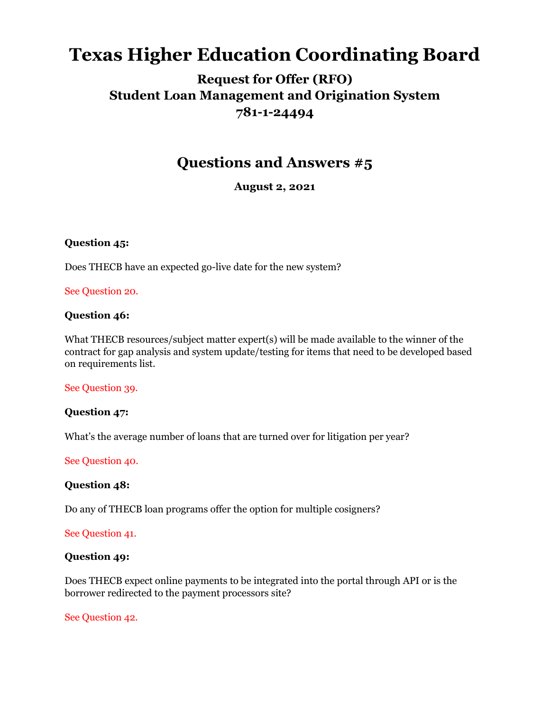# **Texas Higher Education Coordinating Board**

## **Request for Offer (RFO) Student Loan Management and Origination System 781-1-24494**

## **Questions and Answers #5**

**August 2, 2021**

## **Question 45:**

Does THECB have an expected go-live date for the new system?

#### See Question 20.

## **Question 46:**

What THECB resources/subject matter expert(s) will be made available to the winner of the contract for gap analysis and system update/testing for items that need to be developed based on requirements list.

#### See Question 39.

## **Question 47:**

What's the average number of loans that are turned over for litigation per year?

#### See Question 40.

## **Question 48:**

Do any of THECB loan programs offer the option for multiple cosigners?

## See Question 41.

#### **Question 49:**

Does THECB expect online payments to be integrated into the portal through API or is the borrower redirected to the payment processors site?

## See Question 42.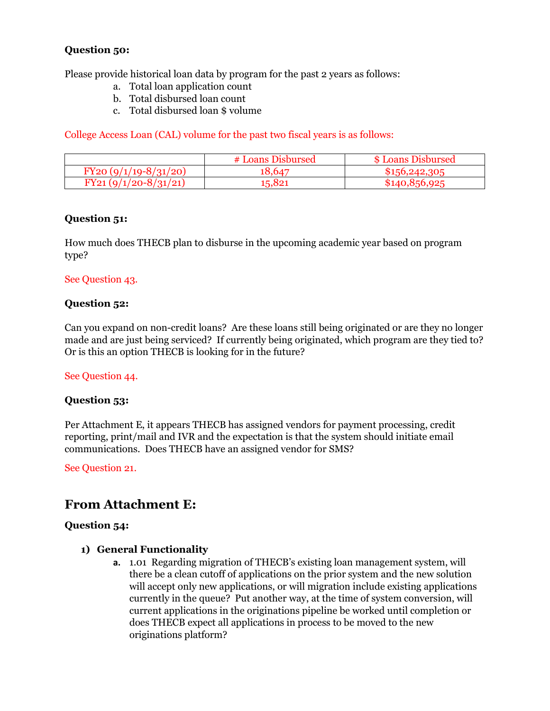## **Question 50:**

Please provide historical loan data by program for the past 2 years as follows:

- a. Total loan application count
- b. Total disbursed loan count
- c. Total disbursed loan \$ volume

College Access Loan (CAL) volume for the past two fiscal years is as follows:

|                        | # Loans Disbursed | \$ Loans Disbursed |
|------------------------|-------------------|--------------------|
| $FY20(9/1/19-8/31/20)$ | 18.647            | \$156,242,305      |
| $FY21(9/1/20-8/31/21)$ | 15,821            | \$140.856.925      |

## **Question 51:**

How much does THECB plan to disburse in the upcoming academic year based on program type?

## See Question 43.

## **Question 52:**

Can you expand on non-credit loans? Are these loans still being originated or are they no longer made and are just being serviced? If currently being originated, which program are they tied to? Or is this an option THECB is looking for in the future?

## See Question 44.

## **Question 53:**

Per Attachment E, it appears THECB has assigned vendors for payment processing, credit reporting, print/mail and IVR and the expectation is that the system should initiate email communications. Does THECB have an assigned vendor for SMS?

See Question 21.

## **From Attachment E:**

## **Question 54:**

## **1) General Functionality**

**a.** 1.01 Regarding migration of THECB's existing loan management system, will there be a clean cutoff of applications on the prior system and the new solution will accept only new applications, or will migration include existing applications currently in the queue? Put another way, at the time of system conversion, will current applications in the originations pipeline be worked until completion or does THECB expect all applications in process to be moved to the new originations platform?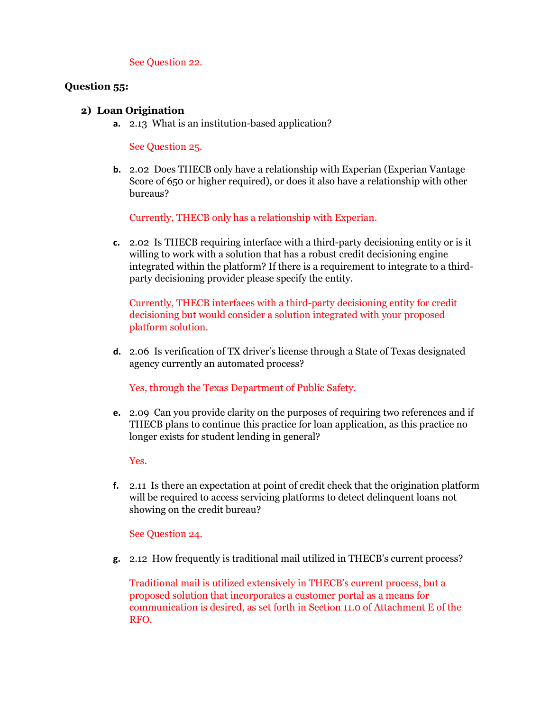See Question 22.

## **Question 55:**

## **2) Loan Origination**

**a.** 2.13 What is an institution-based application?

See Question 25.

**b.** 2.02 Does THECB only have a relationship with Experian (Experian Vantage) Score of 650 or higher required), or does it also have a relationship with other bureaus?

Currently, THECB only has a relationship with Experian.

**c.** 2.02 Is THECB requiring interface with a third-party decisioning entity or is it willing to work with a solution that has a robust credit decisioning engine integrated within the platform? If there is a requirement to integrate to a thirdparty decisioning provider please specify the entity.

Currently, THECB interfaces with a third-party decisioning entity for credit decisioning but would consider a solution integrated with your proposed platform solution.

**d.** 2.06 Is verification of TX driver's license through a State of Texas designated agency currently an automated process?

Yes, through the Texas Department of Public Safety.

**e.** 2.09 Can you provide clarity on the purposes of requiring two references and if THECB plans to continue this practice for loan application, as this practice no longer exists for student lending in general?

Yes.

**f.** 2.11 Is there an expectation at point of credit check that the origination platform will be required to access servicing platforms to detect delinquent loans not showing on the credit bureau?

See Question 24.

**g.** 2.12 How frequently is traditional mail utilized in THECB's current process?

Traditional mail is utilized extensively in THECB's current process, but a proposed solution that incorporates a customer portal as a means for communication is desired, as set forth in Section 11.0 of Attachment E of the RFO.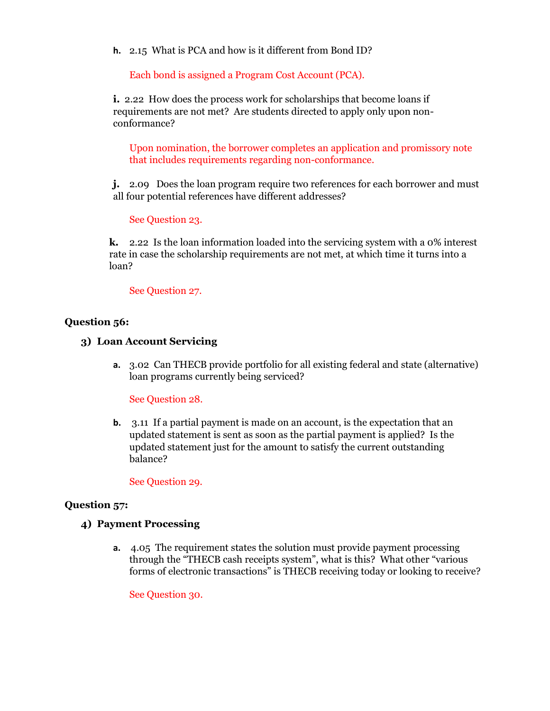**h.** 2.15 What is PCA and how is it different from Bond ID?

Each bond is assigned a Program Cost Account (PCA).

**i.** 2.22 How does the process work for scholarships that become loans if requirements are not met? Are students directed to apply only upon nonconformance?

Upon nomination, the borrower completes an application and promissory note that includes requirements regarding non-conformance.

**j.** 2.09 Does the loan program require two references for each borrower and must all four potential references have different addresses?

#### See Question 23.

**k.** 2.22 Is the loan information loaded into the servicing system with a 0% interest rate in case the scholarship requirements are not met, at which time it turns into a loan?

See Question 27.

#### **Question 56:**

- **3) Loan Account Servicing** 
	- **a.** 3.02 Can THECB provide portfolio for all existing federal and state (alternative) loan programs currently being serviced?

See Question 28.

**b.** 3.11 If a partial payment is made on an account, is the expectation that an updated statement is sent as soon as the partial payment is applied? Is the updated statement just for the amount to satisfy the current outstanding balance?

See Question 29.

#### **Question 57:**

#### **4) Payment Processing**

**a.** 4.05 The requirement states the solution must provide payment processing through the "THECB cash receipts system", what is this? What other "various forms of electronic transactions" is THECB receiving today or looking to receive?

See Question 30.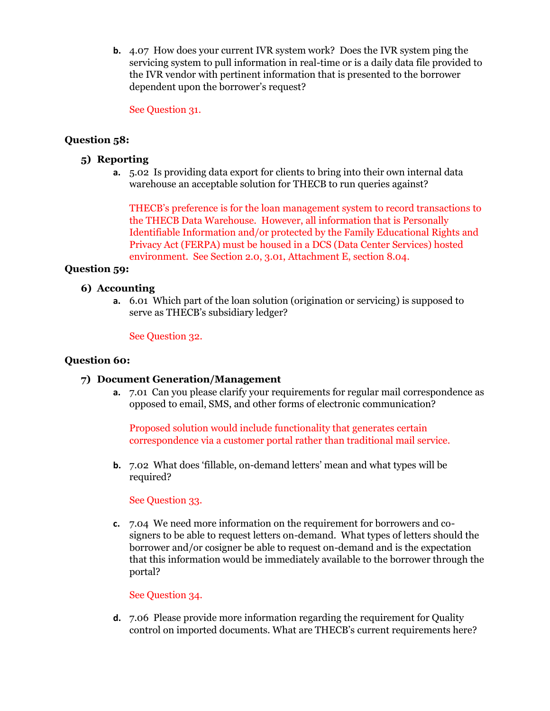**b.** 4.07 How does your current IVR system work? Does the IVR system ping the servicing system to pull information in real-time or is a daily data file provided to the IVR vendor with pertinent information that is presented to the borrower dependent upon the borrower's request?

See Question 31.

## **Question 58:**

- **5) Reporting**
	- **a.** 5.02 Is providing data export for clients to bring into their own internal data warehouse an acceptable solution for THECB to run queries against?

THECB's preference is for the loan management system to record transactions to the THECB Data Warehouse. However, all information that is Personally Identifiable Information and/or protected by the Family Educational Rights and Privacy Act (FERPA) must be housed in a DCS (Data Center Services) hosted environment. See Section 2.0, 3.01, Attachment E, section 8.04.

## **Question 59:**

#### **6) Accounting**

**a.** 6.01 Which part of the loan solution (origination or servicing) is supposed to serve as THECB's subsidiary ledger?

#### See Question 32.

#### **Question 60:**

## **7) Document Generation/Management**

**a.** 7.01 Can you please clarify your requirements for regular mail correspondence as opposed to email, SMS, and other forms of electronic communication?

Proposed solution would include functionality that generates certain correspondence via a customer portal rather than traditional mail service.

**b.** 7.02 What does 'fillable, on-demand letters' mean and what types will be required?

#### See Question 33.

**c.** 7.04 We need more information on the requirement for borrowers and cosigners to be able to request letters on-demand. What types of letters should the borrower and/or cosigner be able to request on-demand and is the expectation that this information would be immediately available to the borrower through the portal?

#### See Question 34.

**d.** 7.06 Please provide more information regarding the requirement for Quality control on imported documents. What are THECB's current requirements here?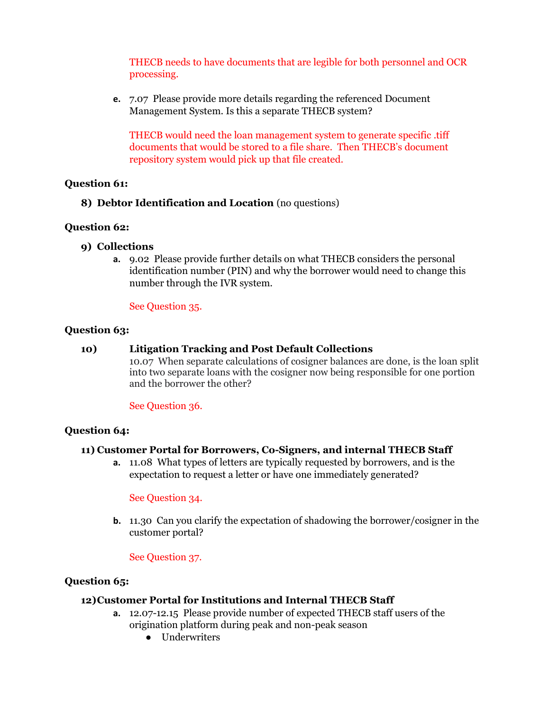THECB needs to have documents that are legible for both personnel and OCR processing.

**e.** 7.07 Please provide more details regarding the referenced Document Management System. Is this a separate THECB system?

THECB would need the loan management system to generate specific .tiff documents that would be stored to a file share. Then THECB's document repository system would pick up that file created.

## **Question 61:**

## **8) Debtor Identification and Location** (no questions)

## **Question 62:**

- **9) Collections** 
	- **a.** 9.02 Please provide further details on what THECB considers the personal identification number (PIN) and why the borrower would need to change this number through the IVR system.

## See Question 35.

## **Question 63:**

## **10) Litigation Tracking and Post Default Collections**

10.07 When separate calculations of cosigner balances are done, is the loan split into two separate loans with the cosigner now being responsible for one portion and the borrower the other?

See Question 36.

## **Question 64:**

## **11) Customer Portal for Borrowers, Co-Signers, and internal THECB Staff**

**a.** 11.08 What types of letters are typically requested by borrowers, and is the expectation to request a letter or have one immediately generated?

See Question 34.

**b.** 11.30 Can you clarify the expectation of shadowing the borrower/cosigner in the customer portal?

## See Question 37.

## **Question 65:**

## **12)Customer Portal for Institutions and Internal THECB Staff**

- **a.** 12.07-12.15 Please provide number of expected THECB staff users of the origination platform during peak and non-peak season
	- Underwriters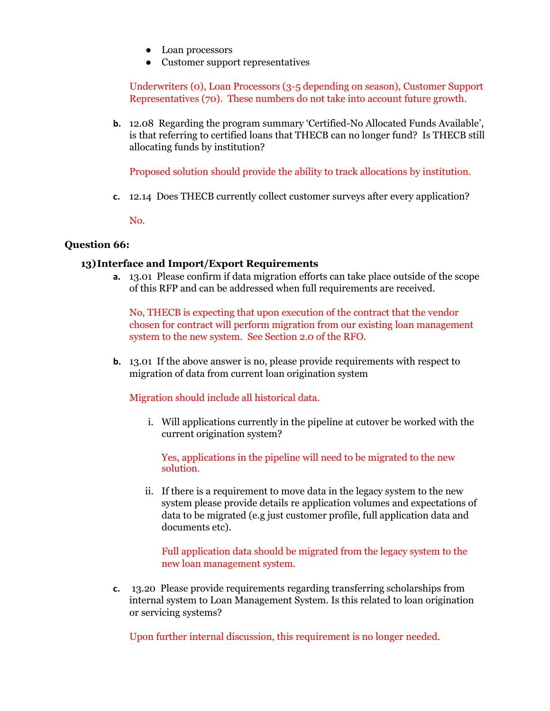- Loan processors
- Customer support representatives

Underwriters (0), Loan Processors (3-5 depending on season), Customer Support Representatives (70). These numbers do not take into account future growth.

**b.** 12.08 Regarding the program summary 'Certified-No Allocated Funds Available', is that referring to certified loans that THECB can no longer fund? Is THECB still allocating funds by institution?

Proposed solution should provide the ability to track allocations by institution.

**c.** 12.14 Does THECB currently collect customer surveys after every application?

No.

#### **Question 66:**

#### **13)Interface and Import/Export Requirements**

**a.** 13.01 Please confirm if data migration efforts can take place outside of the scope of this RFP and can be addressed when full requirements are received.

No, THECB is expecting that upon execution of the contract that the vendor chosen for contract will perform migration from our existing loan management system to the new system. See Section 2.0 of the RFO.

**b.** 13.01 If the above answer is no, please provide requirements with respect to migration of data from current loan origination system

Migration should include all historical data.

i. Will applications currently in the pipeline at cutover be worked with the current origination system?

Yes, applications in the pipeline will need to be migrated to the new solution.

ii. If there is a requirement to move data in the legacy system to the new system please provide details re application volumes and expectations of data to be migrated (e.g just customer profile, full application data and documents etc).

Full application data should be migrated from the legacy system to the new loan management system.

**c.** 13.20 Please provide requirements regarding transferring scholarships from internal system to Loan Management System. Is this related to loan origination or servicing systems?

Upon further internal discussion, this requirement is no longer needed.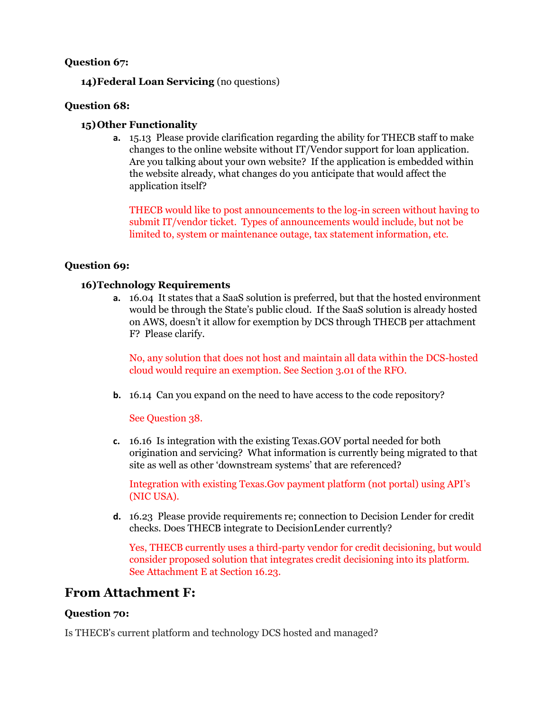## **Question 67:**

**14)Federal Loan Servicing** (no questions)

## **Question 68:**

## **15)Other Functionality**

**a.** 15.13 Please provide clarification regarding the ability for THECB staff to make changes to the online website without IT/Vendor support for loan application. Are you talking about your own website? If the application is embedded within the website already, what changes do you anticipate that would affect the application itself?

THECB would like to post announcements to the log-in screen without having to submit IT/vendor ticket. Types of announcements would include, but not be limited to, system or maintenance outage, tax statement information, etc.

## **Question 69:**

## **16)Technology Requirements**

**a.** 16.04 It states that a SaaS solution is preferred, but that the hosted environment would be through the State's public cloud. If the SaaS solution is already hosted on AWS, doesn't it allow for exemption by DCS through THECB per attachment F? Please clarify.

No, any solution that does not host and maintain all data within the DCS-hosted cloud would require an exemption. See Section 3.01 of the RFO.

**b.** 16.14 Can you expand on the need to have access to the code repository?

See Question 38.

**c.** 16.16 Is integration with the existing Texas.GOV portal needed for both origination and servicing? What information is currently being migrated to that site as well as other 'downstream systems' that are referenced?

Integration with existing Texas.Gov payment platform (not portal) using API's (NIC USA).

**d.** 16.23 Please provide requirements re; connection to Decision Lender for credit checks. Does THECB integrate to DecisionLender currently?

Yes, THECB currently uses a third-party vendor for credit decisioning, but would consider proposed solution that integrates credit decisioning into its platform. See Attachment E at Section 16.23.

## **From Attachment F:**

## **Question 70:**

Is THECB's current platform and technology DCS hosted and managed?